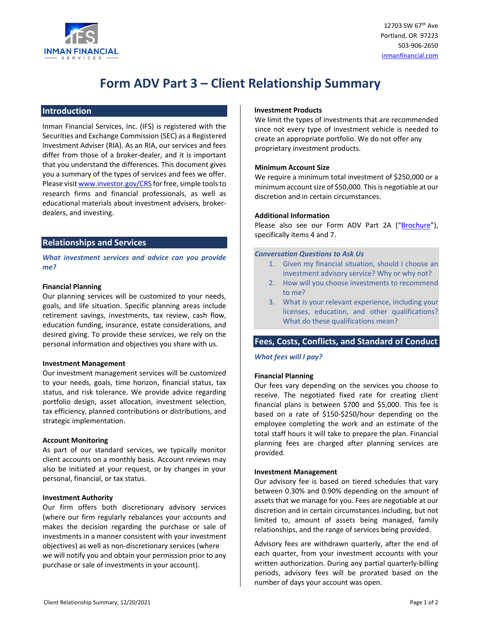

# **Form ADV Part 3 – Client Relationship Summary**

# **Introduction**

Inman Financial Services, Inc. (IFS) is registered with the Securities and Exchange Commission (SEC) as a Registered Investment Adviser (RIA). As an RIA, our services and fees differ from those of a broker‐dealer, and it is important that you understand the differences. This document gives you a summary of the types of services and fees we offer. Please visit www.investor.gov/CRS for free, simple tools to research firms and financial professionals, as well as educational materials about investment advisers, broker‐ dealers, and investing.

# **Relationships and Services**

*What investment services and advice can you provide me?*

#### **Financial Planning**

Our planning services will be customized to your needs, goals, and life situation. Specific planning areas include retirement savings, investments, tax review, cash flow, education funding, insurance, estate considerations, and desired giving. To provide these services, we rely on the personal information and objectives you share with us.

# **Investment Management**

Our investment management services will be customized to your needs, goals, time horizon, financial status, tax status, and risk tolerance. We provide advice regarding portfolio design, asset allocation, investment selection, tax efficiency, planned contributions or distributions, and strategic implementation.

#### **Account Monitoring**

As part of our standard services, we typically monitor client accounts on a monthly basis. Account reviews may also be initiated at your request, or by changes in your personal, financial, or tax status.

#### **Investment Authority**

Our firm offers both discretionary advisory services (where our firm regularly rebalances your accounts and makes the decision regarding the purchase or sale of investments in a manner consistent with your investment objectives) as well as non‐discretionary services (where we will notify you and obtain your permission prior to any purchase or sale of investments in your account).

## **Investment Products**

We limit the types of investments that are recommended since not every type of investment vehicle is needed to create an appropriate portfolio. We do not offer any proprietary investment products.

## **Minimum Account Size**

We require a minimum total investment of \$250,000 or a minimum account size of \$50,000. This is negotiable at our discretion and in certain circumstances.

#### **Additional Information**

Please also see our Form ADV Part 2A ("Brochure"), specifically items 4 and 7.

#### *Conversation Questions to Ask Us*

- 1. Given my financial situation, should I choose an investment advisory service? Why or why not?
- 2. How will you choose investments to recommend to me?
- 3. What is your relevant experience, including your licenses, education, and other qualifications? What do these qualifications mean?

# **Fees, Costs, Conflicts, and Standard of Conduct**

# *What fees will I pay?*

# **Financial Planning**

Our fees vary depending on the services you choose to receive. The negotiated fixed rate for creating client financial plans is between \$700 and \$5,000. This fee is based on a rate of \$150‐\$250/hour depending on the employee completing the work and an estimate of the total staff hours it will take to prepare the plan. Financial planning fees are charged after planning services are provided.

#### **Investment Management**

Our advisory fee is based on tiered schedules that vary between 0.30% and 0.90% depending on the amount of assets that we manage for you. Fees are negotiable at our discretion and in certain circumstances including, but not limited to, amount of assets being managed, family relationships, and the range of services being provided.

Advisory fees are withdrawn quarterly, after the end of each quarter, from your investment accounts with your written authorization. During any partial quarterly‐billing periods, advisory fees will be prorated based on the number of days your account was open.